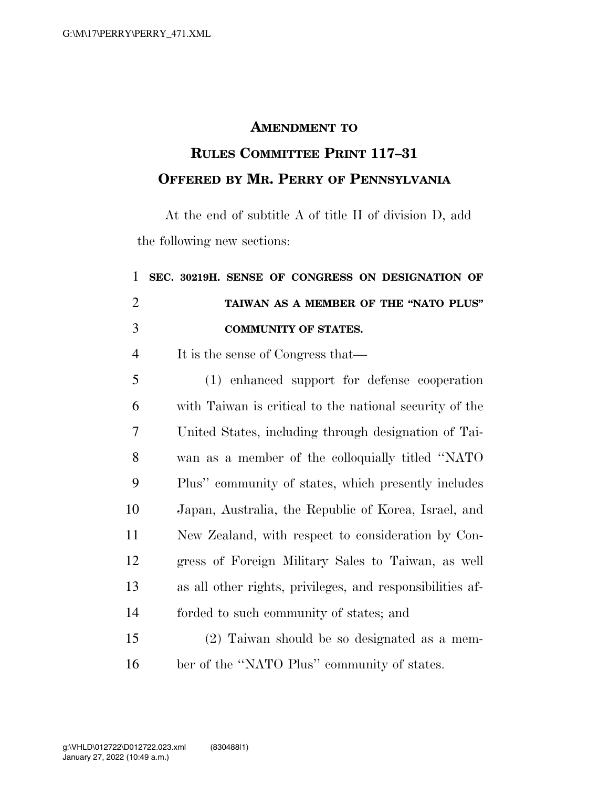## **AMENDMENT TO**

## **RULES COMMITTEE PRINT 117–31 OFFERED BY MR. PERRY OF PENNSYLVANIA**

At the end of subtitle A of title II of division D, add the following new sections:

| 1              | SEC. 30219H. SENSE OF CONGRESS ON DESIGNATION OF          |
|----------------|-----------------------------------------------------------|
| $\overline{2}$ | TAIWAN AS A MEMBER OF THE "NATO PLUS"                     |
| 3              | <b>COMMUNITY OF STATES.</b>                               |
| $\overline{4}$ | It is the sense of Congress that—                         |
| 5              | (1) enhanced support for defense cooperation              |
| 6              | with Taiwan is critical to the national security of the   |
| 7              | United States, including through designation of Tai-      |
| 8              | wan as a member of the colloquially titled "NATO"         |
| 9              | Plus" community of states, which presently includes       |
| 10             | Japan, Australia, the Republic of Korea, Israel, and      |
| 11             | New Zealand, with respect to consideration by Con-        |
| 12             | gress of Foreign Military Sales to Taiwan, as well        |
| 13             | as all other rights, privileges, and responsibilities af- |
| 14             | forded to such community of states; and                   |
| 15             | (2) Taiwan should be so designated as a mem-              |
| 16             | ber of the "NATO Plus" community of states.               |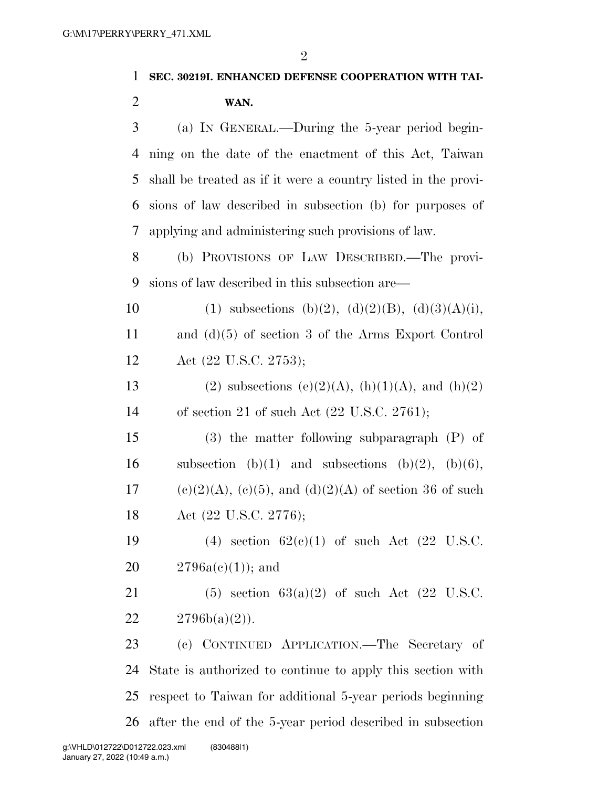2

| 1              | SEC. 30219I. ENHANCED DEFENSE COOPERATION WITH TAI-            |
|----------------|----------------------------------------------------------------|
| $\overline{2}$ | WAN.                                                           |
| 3              | (a) IN GENERAL.—During the 5-year period begin-                |
| 4              | ning on the date of the enactment of this Act, Taiwan          |
| 5              | shall be treated as if it were a country listed in the provi-  |
| 6              | sions of law described in subsection (b) for purposes of       |
| 7              | applying and administering such provisions of law.             |
| 8              | (b) PROVISIONS OF LAW DESCRIBED.—The provi-                    |
| 9              | sions of law described in this subsection are—                 |
| 10             | (1) subsections (b)(2), (d)(2)(B), (d)(3)(A)(i),               |
| 11             | and $(d)(5)$ of section 3 of the Arms Export Control           |
| 12             | Act (22 U.S.C. 2753);                                          |
| 13             | (2) subsections (e)(2)(A), (h)(1)(A), and (h)(2)               |
| 14             | of section 21 of such Act $(22 \text{ U.S.C. } 2761)$ ;        |
| 15             | $(3)$ the matter following subparagraph $(P)$ of               |
| 16             | subsection (b)(1) and subsections (b)(2), (b)(6),              |
| 17             | $(e)(2)(A)$ , $(e)(5)$ , and $(d)(2)(A)$ of section 36 of such |
| 18             | Act (22 U.S.C. 2776);                                          |
| 19             | (4) section $62(e)(1)$ of such Act (22 U.S.C.                  |
| 20             | $2796a(c(1))$ ; and                                            |
| 21             | $(5)$ section $63(a)(2)$ of such Act $(22 \text{ U.S.C.})$     |
| 22             | $2796b(a)(2)$ .                                                |
| 23             | (c) CONTINUED APPLICATION.—The Secretary of                    |
| 24             | State is authorized to continue to apply this section with     |
| 25             | respect to Taiwan for additional 5-year periods beginning      |
| 26             | after the end of the 5-year period described in subsection     |